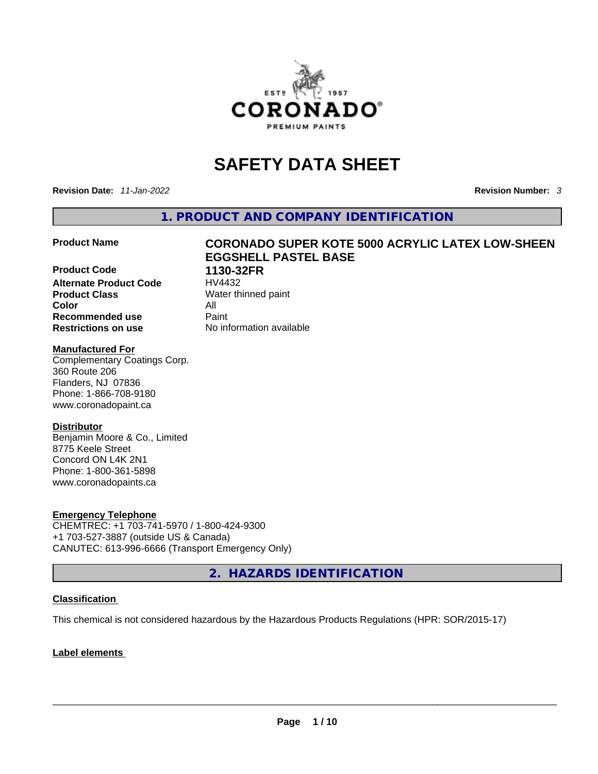

# **SAFETY DATA SHEET**

**Revision Date:** *11-Jan-2022* **Revision Number:** *3*

**1. PRODUCT AND COMPANY IDENTIFICATION** 

**Product Code 1130-32FR Alternate Product Code HV4432 Product Class Water thinned paint Color** All **Recommended use Paint Restrictions on use** No information available

# **Product Name CORONADO SUPER KOTE 5000 ACRYLIC LATEX LOW-SHEEN EGGSHELL PASTEL BASE**

### **Manufactured For**

Complementary Coatings Corp. 360 Route 206 Flanders, NJ 07836 Phone: 1-866-708-9180 www.coronadopaint.ca

## **Distributor**

Benjamin Moore & Co., Limited 8775 Keele Street Concord ON L4K 2N1 Phone: 1-800-361-5898 www.coronadopaints.ca

#### **Emergency Telephone**

CHEMTREC: +1 703-741-5970 / 1-800-424-9300 +1 703-527-3887 (outside US & Canada) CANUTEC: 613-996-6666 (Transport Emergency Only)

**2. HAZARDS IDENTIFICATION** 

## **Classification**

This chemical is not considered hazardous by the Hazardous Products Regulations (HPR: SOR/2015-17)

## **Label elements**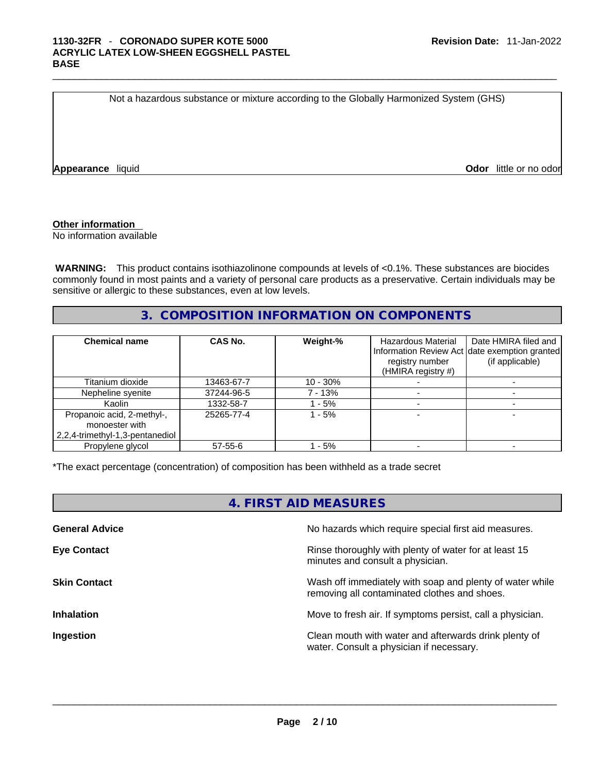Not a hazardous substance or mixture according to the Globally Harmonized System (GHS)

**Appearance** liquid **Odor 11** and **Odor 11** and **Odor 11** and **Odor 11** and **Odor 11** and **Odor** 11 and **Odor** 11 and **Odor** 11 and **Odor** 11 and **Odor** 11 and **Odor** 11 and **Odor** 11 and **Odor** 11 and **Odor** 11 and **Odor** 

### **Other information**

No information available

 **WARNING:** This product contains isothiazolinone compounds at levels of <0.1%. These substances are biocides commonly found in most paints and a variety of personal care products as a preservative. Certain individuals may be sensitive or allergic to these substances, even at low levels.

# **3. COMPOSITION INFORMATION ON COMPONENTS**

| <b>Chemical name</b>                                                            | CAS No.    | Weight-%    | <b>Hazardous Material</b><br>registry number<br>(HMIRA registry #) | Date HMIRA filed and<br>Information Review Act date exemption granted<br>(if applicable) |
|---------------------------------------------------------------------------------|------------|-------------|--------------------------------------------------------------------|------------------------------------------------------------------------------------------|
| Titanium dioxide                                                                | 13463-67-7 | $10 - 30\%$ |                                                                    |                                                                                          |
| Nepheline syenite                                                               | 37244-96-5 | 7 - 13%     |                                                                    |                                                                                          |
| Kaolin                                                                          | 1332-58-7  | $-5%$       |                                                                    |                                                                                          |
| Propanoic acid, 2-methyl-,<br>monoester with<br>2,2,4-trimethyl-1,3-pentanediol | 25265-77-4 | $-5%$       |                                                                    |                                                                                          |
| Propylene glycol                                                                | 57-55-6    | $-5%$       |                                                                    |                                                                                          |

\*The exact percentage (concentration) of composition has been withheld as a trade secret

| 4. FIRST AID MEASURES |                                                                                                          |  |
|-----------------------|----------------------------------------------------------------------------------------------------------|--|
| <b>General Advice</b> | No hazards which require special first aid measures.                                                     |  |
| <b>Eye Contact</b>    | Rinse thoroughly with plenty of water for at least 15<br>minutes and consult a physician.                |  |
| <b>Skin Contact</b>   | Wash off immediately with soap and plenty of water while<br>removing all contaminated clothes and shoes. |  |
| <b>Inhalation</b>     | Move to fresh air. If symptoms persist, call a physician.                                                |  |
| Ingestion             | Clean mouth with water and afterwards drink plenty of<br>water. Consult a physician if necessary.        |  |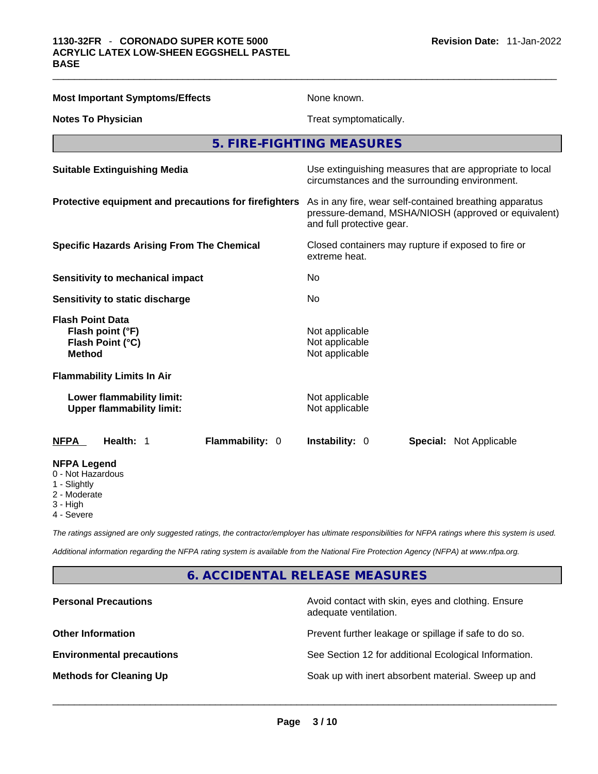| <b>Most Important Symptoms/Effects</b>                                           | None known.                                                                                                                                  |  |  |  |
|----------------------------------------------------------------------------------|----------------------------------------------------------------------------------------------------------------------------------------------|--|--|--|
| <b>Notes To Physician</b>                                                        | Treat symptomatically.                                                                                                                       |  |  |  |
|                                                                                  | 5. FIRE-FIGHTING MEASURES                                                                                                                    |  |  |  |
| <b>Suitable Extinguishing Media</b>                                              | Use extinguishing measures that are appropriate to local<br>circumstances and the surrounding environment.                                   |  |  |  |
| Protective equipment and precautions for firefighters                            | As in any fire, wear self-contained breathing apparatus<br>pressure-demand, MSHA/NIOSH (approved or equivalent)<br>and full protective gear. |  |  |  |
| <b>Specific Hazards Arising From The Chemical</b>                                | Closed containers may rupture if exposed to fire or<br>extreme heat.                                                                         |  |  |  |
| Sensitivity to mechanical impact                                                 | No                                                                                                                                           |  |  |  |
| Sensitivity to static discharge                                                  | No                                                                                                                                           |  |  |  |
| <b>Flash Point Data</b><br>Flash point (°F)<br>Flash Point (°C)<br><b>Method</b> | Not applicable<br>Not applicable<br>Not applicable                                                                                           |  |  |  |
| <b>Flammability Limits In Air</b>                                                |                                                                                                                                              |  |  |  |
| Lower flammability limit:<br><b>Upper flammability limit:</b>                    | Not applicable<br>Not applicable                                                                                                             |  |  |  |
| Health: 1<br>Flammability: 0<br><b>NFPA</b>                                      | Instability: 0<br><b>Special: Not Applicable</b>                                                                                             |  |  |  |
| <b>NFPA Legend</b><br>0 - Not Hazardous<br>1 - Slightly<br>2 - Moderate          |                                                                                                                                              |  |  |  |

3 - High

4 - Severe

*The ratings assigned are only suggested ratings, the contractor/employer has ultimate responsibilities for NFPA ratings where this system is used.* 

*Additional information regarding the NFPA rating system is available from the National Fire Protection Agency (NFPA) at www.nfpa.org.* 

# **6. ACCIDENTAL RELEASE MEASURES**

| <b>Personal Precautions</b>      | Avoid contact with skin, eyes and clothing. Ensure<br>adequate ventilation. |
|----------------------------------|-----------------------------------------------------------------------------|
| <b>Other Information</b>         | Prevent further leakage or spillage if safe to do so.                       |
| <b>Environmental precautions</b> | See Section 12 for additional Ecological Information.                       |
| <b>Methods for Cleaning Up</b>   | Soak up with inert absorbent material. Sweep up and                         |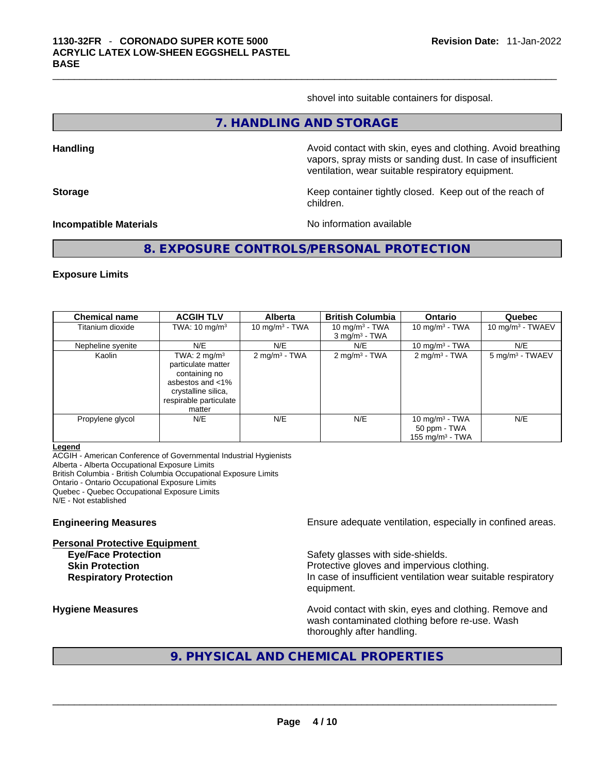shovel into suitable containers for disposal.

#### **7. HANDLING AND STORAGE**

**Handling Avoid contact with skin, eyes and clothing. Avoid breathing Avoid breathing** vapors, spray mists or sanding dust. In case of insufficient ventilation, wear suitable respiratory equipment.

**Storage Keep container tightly closed. Keep out of the reach of the reach of the reach of the reach of the reach of the reach of the reach of the reach of the reach of the reach of the reach of the reach of the reach of** children.

**Incompatible Materials Materials** No information available

**8. EXPOSURE CONTROLS/PERSONAL PROTECTION** 

#### **Exposure Limits**

| <b>Chemical name</b> | <b>ACGIH TLV</b>                                                                                                                              | <b>Alberta</b>           | <b>British Columbia</b>                 | <b>Ontario</b>                                                   | Quebec                      |
|----------------------|-----------------------------------------------------------------------------------------------------------------------------------------------|--------------------------|-----------------------------------------|------------------------------------------------------------------|-----------------------------|
| Titanium dioxide     | TWA: $10 \text{ mg/m}^3$                                                                                                                      | 10 mg/m $3$ - TWA        | 10 mg/m $3$ - TWA<br>$3$ mg/m $3$ - TWA | 10 mg/m $3$ - TWA                                                | 10 mg/m $3$ - TWAEV         |
| Nepheline syenite    | N/E                                                                                                                                           | N/E                      | N/E                                     | 10 mg/m $3$ - TWA                                                | N/E                         |
| Kaolin               | TWA: $2 \text{ mg/m}^3$<br>particulate matter<br>containing no<br>asbestos and <1%<br>crystalline silica,<br>respirable particulate<br>matter | $2 \text{ mg/m}^3$ - TWA | $2 \text{ mg/m}^3$ - TWA                | $2$ mg/m <sup>3</sup> - TWA                                      | 5 mg/m <sup>3</sup> - TWAEV |
| Propylene glycol     | N/E                                                                                                                                           | N/E                      | N/E                                     | 10 mg/m <sup>3</sup> - TWA<br>50 ppm - TWA<br>155 mg/m $3$ - TWA | N/E                         |

#### **Legend**

ACGIH - American Conference of Governmental Industrial Hygienists Alberta - Alberta Occupational Exposure Limits British Columbia - British Columbia Occupational Exposure Limits Ontario - Ontario Occupational Exposure Limits Quebec - Quebec Occupational Exposure Limits N/E - Not established

**Personal Protective Equipment**

**Engineering Measures Ensure** Ensure adequate ventilation, especially in confined areas.

**Eye/Face Protection Safety glasses with side-shields. Skin Protection Protection Protective gloves and impervious clothing. Respiratory Protection In case of insufficient ventilation wear suitable respiratory** equipment.

**Hygiene Measures Avoid contact with skin, eyes and clothing. Remove and Avoid contact with skin, eyes and clothing. Remove and Avoid contact with skin, eyes and clothing. Remove and** wash contaminated clothing before re-use. Wash thoroughly after handling.

# **9. PHYSICAL AND CHEMICAL PROPERTIES**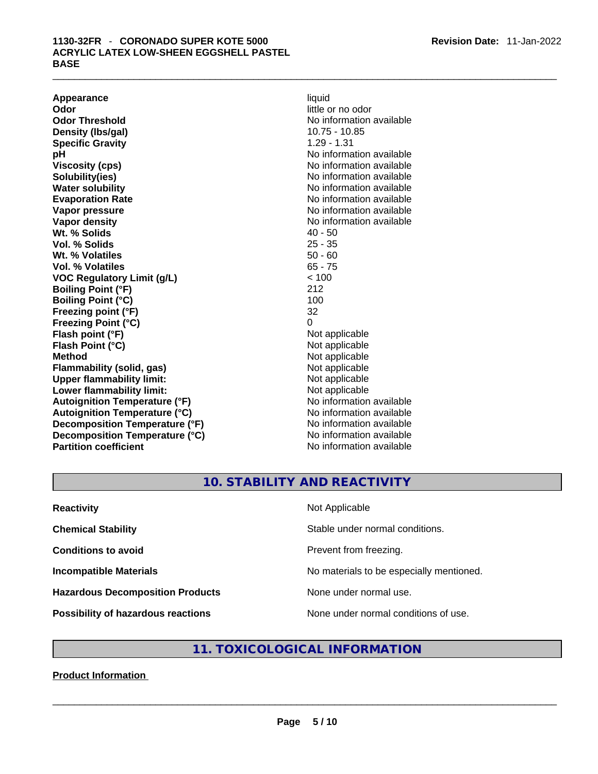# \_\_\_\_\_\_\_\_\_\_\_\_\_\_\_\_\_\_\_\_\_\_\_\_\_\_\_\_\_\_\_\_\_\_\_\_\_\_\_\_\_\_\_\_\_\_\_\_\_\_\_\_\_\_\_\_\_\_\_\_\_\_\_\_\_\_\_\_\_\_\_\_\_\_\_\_\_\_\_\_\_\_\_\_\_\_\_\_\_\_\_\_\_ **1130-32FR** - **CORONADO SUPER KOTE <sup>5000</sup> ACRYLIC LATEX LOW-SHEEN EGGSHELL PASTEL BASE**

**Appearance** liquid **Odor Odor Odor Odor Odor** *little or no odor little or no odor* **Odor Threshold** No information available **Density (lbs/gal)** 10.75 - 10.85 **Specific Gravity** 1.29 - 1.31 **pH bH** *pH* **Viscosity (cps) Viscosity (cps) No information available Solubility(ies)** No information available **Water solubility No information available No information available Evaporation Rate No information available No information available Vapor pressure No information available Vapor density No information available No information available Wt. % Solids** 40 - 50 **Vol. % Solids Wt. % Volatiles** 50 - 60 **Vol. % Volatiles** 65 - 75 **VOC Regulatory Limit (g/L)** < 100 **Boiling Point (°F)** 212 **Boiling Point**  $(°C)$  100 **Freezing point (°F)** 32 **Freezing Point (°C)** 0 **Flash point (°F)**<br> **Flash Point (°C)**<br> **Flash Point (°C)**<br> **Point (°C)**<br> **Point (°C)**<br> **Point (°C) Flash Point (°C) Method** Not applicable **Flammability (solid, gas)** Not applicable **Upper flammability limit:** Not applicable **Lower flammability limit:** Not applicable **Autoignition Temperature (°F)** No information available **Autoignition Temperature (°C)**<br> **Decomposition Temperature (°F)** No information available **Decomposition Temperature (°F)**<br> **Decomposition Temperature (°C)** Moinformation available **Decomposition Temperature (°C) Partition coefficient** No information available

# **10. STABILITY AND REACTIVITY**

| <b>Reactivity</b>                         | Not Applicable                           |
|-------------------------------------------|------------------------------------------|
| <b>Chemical Stability</b>                 | Stable under normal conditions.          |
| <b>Conditions to avoid</b>                | Prevent from freezing.                   |
| <b>Incompatible Materials</b>             | No materials to be especially mentioned. |
| <b>Hazardous Decomposition Products</b>   | None under normal use.                   |
| <b>Possibility of hazardous reactions</b> | None under normal conditions of use.     |

# **11. TOXICOLOGICAL INFORMATION**

**Product Information**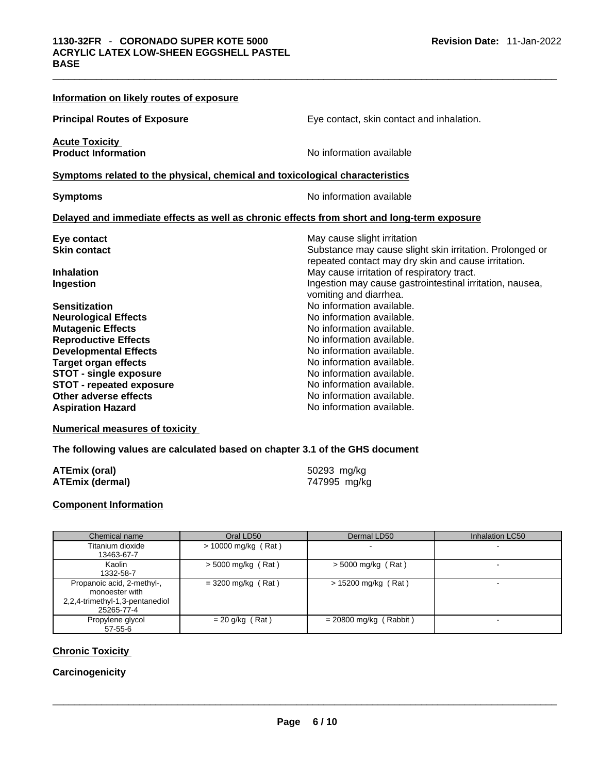| Information on likely routes of exposure                                                   |                                                          |
|--------------------------------------------------------------------------------------------|----------------------------------------------------------|
| <b>Principal Routes of Exposure</b>                                                        | Eye contact, skin contact and inhalation.                |
| <b>Acute Toxicity</b>                                                                      |                                                          |
| <b>Product Information</b>                                                                 | No information available                                 |
| Symptoms related to the physical, chemical and toxicological characteristics               |                                                          |
| <b>Symptoms</b>                                                                            | No information available                                 |
| Delayed and immediate effects as well as chronic effects from short and long-term exposure |                                                          |
| Eye contact                                                                                | May cause slight irritation                              |
| <b>Skin contact</b>                                                                        | Substance may cause slight skin irritation. Prolonged or |
|                                                                                            | repeated contact may dry skin and cause irritation.      |
| <b>Inhalation</b>                                                                          | May cause irritation of respiratory tract.               |
| Ingestion                                                                                  | Ingestion may cause gastrointestinal irritation, nausea, |
|                                                                                            | vomiting and diarrhea.                                   |
| <b>Sensitization</b>                                                                       | No information available.                                |
| <b>Neurological Effects</b>                                                                | No information available.                                |
| <b>Mutagenic Effects</b>                                                                   | No information available.                                |
| <b>Reproductive Effects</b>                                                                | No information available.                                |
| <b>Developmental Effects</b>                                                               | No information available.                                |
| <b>Target organ effects</b>                                                                | No information available.                                |
| <b>STOT - single exposure</b>                                                              | No information available.                                |
| <b>STOT - repeated exposure</b>                                                            | No information available.                                |
| Other adverse effects                                                                      | No information available.                                |
| <b>Aspiration Hazard</b>                                                                   | No information available.                                |

### **Numerical measures of toxicity**

### **The following values are calculated based on chapter 3.1 of the GHS document**

| ATEmix (oral)   | 50293 mg/kg  |
|-----------------|--------------|
| ATEmix (dermal) | 747995 mg/kg |

### **Component Information**

| Chemical name                                                                                 | Oral LD50             | Dermal LD50              | Inhalation LC50          |
|-----------------------------------------------------------------------------------------------|-----------------------|--------------------------|--------------------------|
| Titanium dioxide<br>13463-67-7                                                                | $> 10000$ mg/kg (Rat) |                          | $\overline{\phantom{0}}$ |
| Kaolin<br>1332-58-7                                                                           | $>$ 5000 mg/kg (Rat)  | $>$ 5000 mg/kg (Rat)     |                          |
| Propanoic acid, 2-methyl-,<br>monoester with<br>2,2,4-trimethyl-1,3-pentanediol<br>25265-77-4 | $=$ 3200 mg/kg (Rat)  | $> 15200$ mg/kg (Rat)    |                          |
| Propylene glycol<br>$57-55-6$                                                                 | $= 20$ g/kg (Rat)     | $= 20800$ mg/kg (Rabbit) |                          |

# **Chronic Toxicity**

# **Carcinogenicity**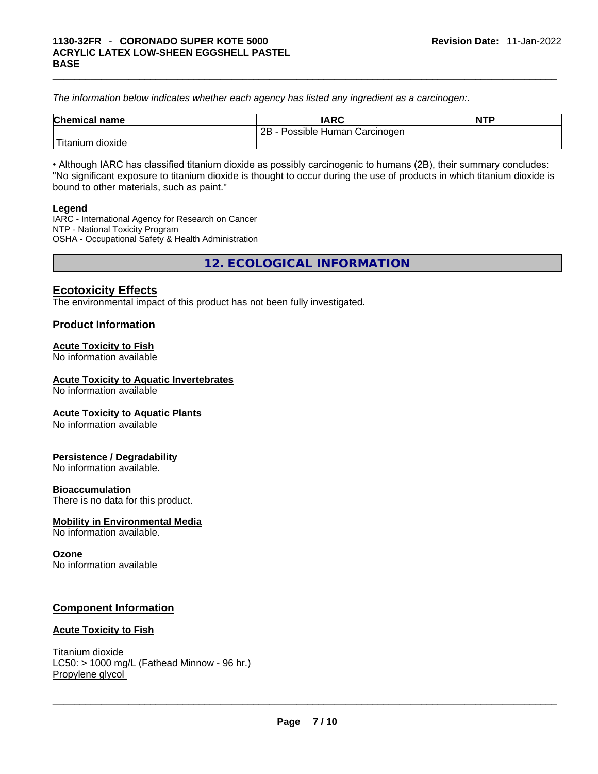*The information below indicates whether each agency has listed any ingredient as a carcinogen:.* 

| <b>Chemical name</b> | <b>IARC</b>                       | <b>NTP</b> |
|----------------------|-----------------------------------|------------|
|                      | 2B<br>- Possible Human Carcinogen |            |
| Titanium dioxide     |                                   |            |

• Although IARC has classified titanium dioxide as possibly carcinogenic to humans (2B), their summary concludes: "No significant exposure to titanium dioxide is thought to occur during the use of products in which titanium dioxide is bound to other materials, such as paint."

#### **Legend**

IARC - International Agency for Research on Cancer NTP - National Toxicity Program OSHA - Occupational Safety & Health Administration

**12. ECOLOGICAL INFORMATION** 

# **Ecotoxicity Effects**

The environmental impact of this product has not been fully investigated.

# **Product Information**

### **Acute Toxicity to Fish**

No information available

### **Acute Toxicity to Aquatic Invertebrates**

No information available

#### **Acute Toxicity to Aquatic Plants**

No information available

#### **Persistence / Degradability**

No information available.

#### **Bioaccumulation**

There is no data for this product.

#### **Mobility in Environmental Media**

No information available.

#### **Ozone**

No information available

# **Component Information**

#### **Acute Toxicity to Fish**

Titanium dioxide  $LC50: > 1000$  mg/L (Fathead Minnow - 96 hr.) Propylene glycol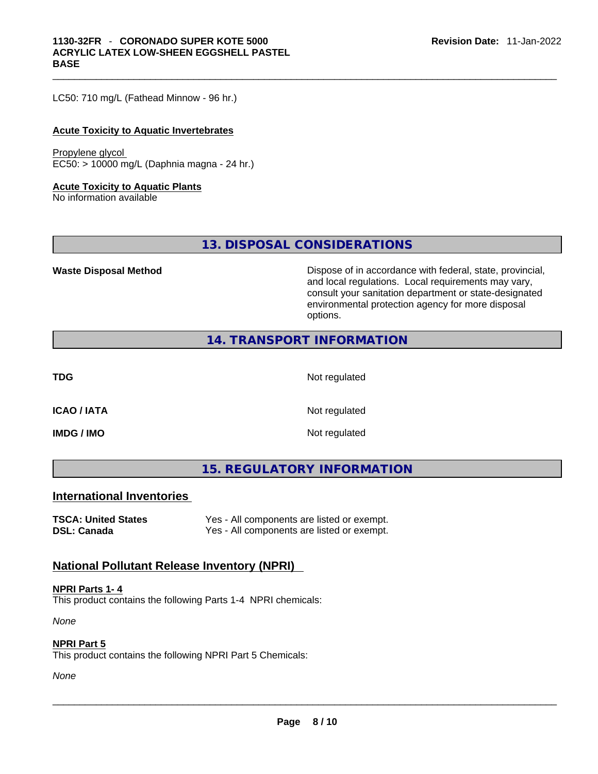LC50: 710 mg/L (Fathead Minnow - 96 hr.)

#### **Acute Toxicity to Aquatic Invertebrates**

#### Propylene glycol EC50: > 10000 mg/L (Daphnia magna - 24 hr.)

### **Acute Toxicity to Aquatic Plants**

No information available

**13. DISPOSAL CONSIDERATIONS** 

**Waste Disposal Method** Dispose of in accordance with federal, state, provincial, and local regulations. Local requirements may vary, consult your sanitation department or state-designated environmental protection agency for more disposal options.

# **14. TRANSPORT INFORMATION**

**TDG** Not regulated

**ICAO / IATA** Not regulated

**IMDG / IMO** Not regulated

**15. REGULATORY INFORMATION** 

## **International Inventories**

**TSCA: United States** Yes - All components are listed or exempt. **DSL: Canada Yes - All components are listed or exempt.** 

# **National Pollutant Release Inventory (NPRI)**

**NPRI Parts 1- 4** This product contains the following Parts 1-4 NPRI chemicals:

*None*

#### **NPRI Part 5**

This product contains the following NPRI Part 5 Chemicals: \_\_\_\_\_\_\_\_\_\_\_\_\_\_\_\_\_\_\_\_\_\_\_\_\_\_\_\_\_\_\_\_\_\_\_\_\_\_\_\_\_\_\_\_\_\_\_\_\_\_\_\_\_\_\_\_\_\_\_\_\_\_\_\_\_\_\_\_\_\_\_\_\_\_\_\_\_\_\_\_\_\_\_\_\_\_\_\_\_\_\_\_\_

*None*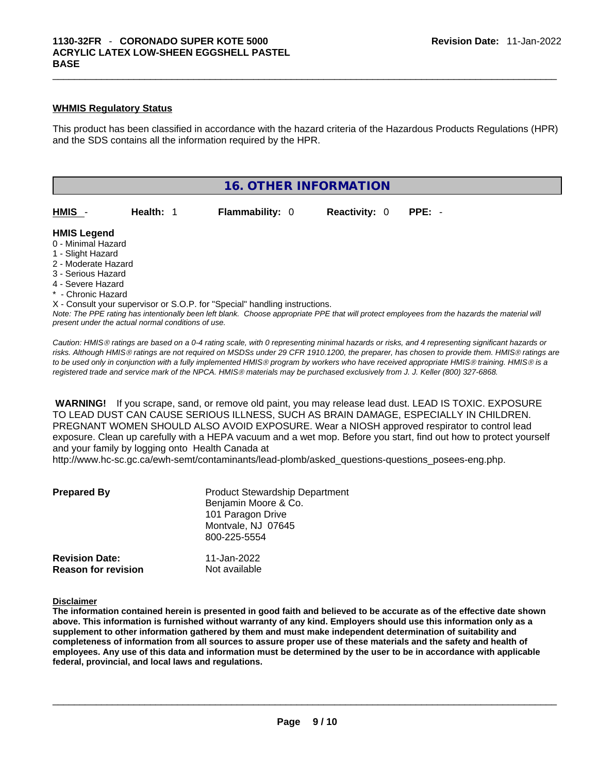#### **WHMIS Regulatory Status**

This product has been classified in accordance with the hazard criteria of the Hazardous Products Regulations (HPR) and the SDS contains all the information required by the HPR.



Note: The PPE rating has intentionally been left blank. Choose appropriate PPE that will protect employees from the hazards the material will *present under the actual normal conditions of use.* 

*Caution: HMISÒ ratings are based on a 0-4 rating scale, with 0 representing minimal hazards or risks, and 4 representing significant hazards or risks. Although HMISÒ ratings are not required on MSDSs under 29 CFR 1910.1200, the preparer, has chosen to provide them. HMISÒ ratings are to be used only in conjunction with a fully implemented HMISÒ program by workers who have received appropriate HMISÒ training. HMISÒ is a registered trade and service mark of the NPCA. HMISÒ materials may be purchased exclusively from J. J. Keller (800) 327-6868.* 

 **WARNING!** If you scrape, sand, or remove old paint, you may release lead dust. LEAD IS TOXIC. EXPOSURE TO LEAD DUST CAN CAUSE SERIOUS ILLNESS, SUCH AS BRAIN DAMAGE, ESPECIALLY IN CHILDREN. PREGNANT WOMEN SHOULD ALSO AVOID EXPOSURE.Wear a NIOSH approved respirator to control lead exposure. Clean up carefully with a HEPA vacuum and a wet mop. Before you start, find out how to protect yourself and your family by logging onto Health Canada at

http://www.hc-sc.gc.ca/ewh-semt/contaminants/lead-plomb/asked\_questions-questions\_posees-eng.php.

| <b>Prepared By</b>                                  | <b>Product Stewardship Department</b><br>Benjamin Moore & Co.<br>101 Paragon Drive<br>Montvale, NJ 07645<br>800-225-5554 |  |
|-----------------------------------------------------|--------------------------------------------------------------------------------------------------------------------------|--|
| <b>Revision Date:</b><br><b>Reason for revision</b> | 11-Jan-2022<br>Not available                                                                                             |  |

#### **Disclaimer**

The information contained herein is presented in good faith and believed to be accurate as of the effective date shown above. This information is furnished without warranty of any kind. Employers should use this information only as a **supplement to other information gathered by them and must make independent determination of suitability and** completeness of information from all sources to assure proper use of these materials and the safety and health of employees. Any use of this data and information must be determined by the user to be in accordance with applicable **federal, provincial, and local laws and regulations.**